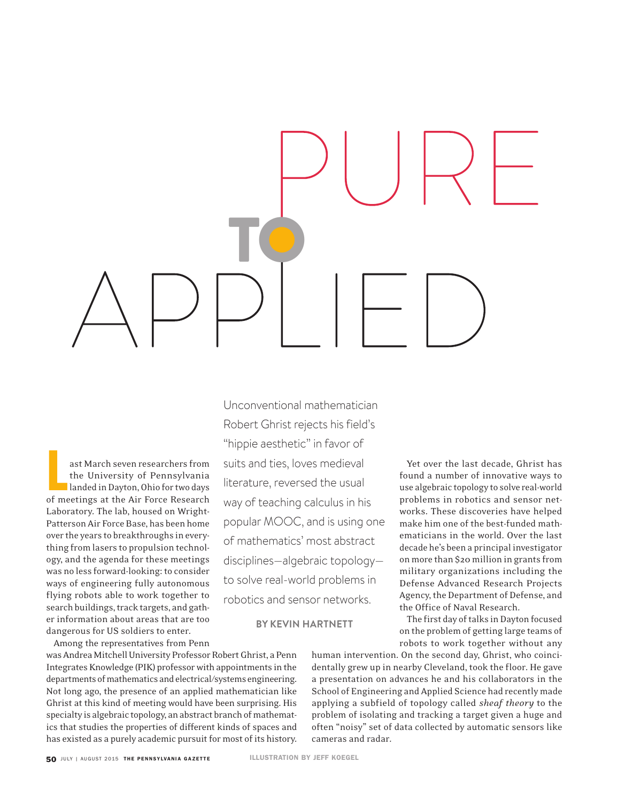

ast March seven researchers from<br>the University of Pennsylvania<br>landed in Dayton, Ohio for two days<br>of meetings at the Air Force Research ast March seven researchers from the University of Pennsylvania landed in Dayton, Ohio for two days Laboratory. The lab, housed on Wright-Patterson Air Force Base, has been home over the years to breakthroughs in everything from lasers to propulsion technology, and the agenda for these meetings was no less forward-looking: to consider ways of engineering fully autonomous flying robots able to work together to search buildings, track targets, and gather information about areas that are too dangerous for US soldiers to enter.

Among the representatives from Penn

Unconventional mathematician Robert Ghrist rejects his field's "hippie aesthetic" in favor of suits and ties, loves medieval literature, reversed the usual way of teaching calculus in his popular MOOC, and is using one of mathematics' most abstract disciplines—algebraic topology to solve real-world problems in robotics and sensor networks.

## **BY KEVIN HARTNETT**

Yet over the last decade, Ghrist has found a number of innovative ways to use algebraic topology to solve real-world problems in robotics and sensor networks. These discoveries have helped make him one of the best-funded mathematicians in the world. Over the last decade he's been a principal investigator on more than \$20 million in grants from military organizations including the Defense Advanced Research Projects Agency, the Department of Defense, and the Office of Naval Research.

The first day of talks in Dayton focused on the problem of getting large teams of robots to work together without any

was Andrea Mitchell University Professor Robert Ghrist, a Penn Integrates Knowledge (PIK) professor with appointments in the departments of mathematics and electrical/systems engineering. Not long ago, the presence of an applied mathematician like Ghrist at this kind of meeting would have been surprising. His specialty is algebraic topology, an abstract branch of mathematics that studies the properties of different kinds of spaces and has existed as a purely academic pursuit for most of its history. human intervention. On the second day, Ghrist, who coincidentally grew up in nearby Cleveland, took the floor. He gave a presentation on advances he and his collaborators in the School of Engineering and Applied Science had recently made applying a subfield of topology called *sheaf theory* to the problem of isolating and tracking a target given a huge and often "noisy" set of data collected by automatic sensors like cameras and radar.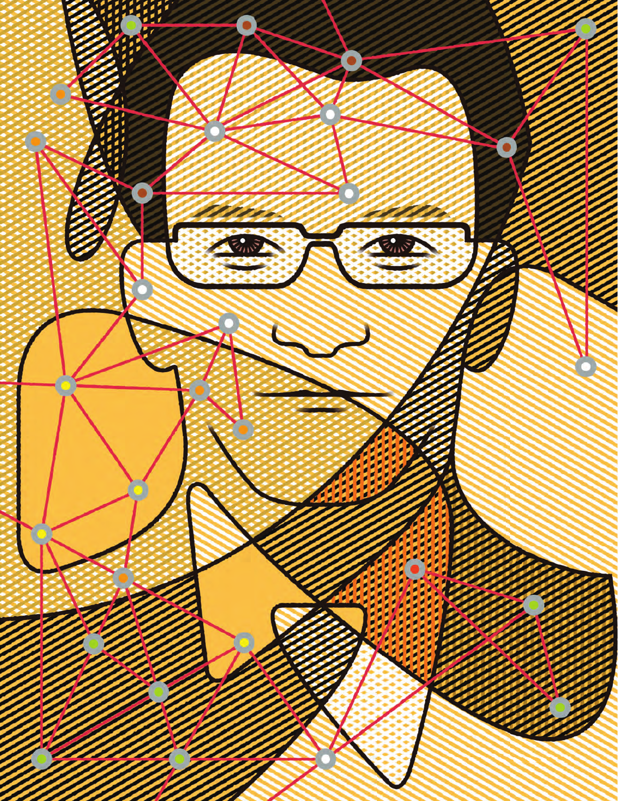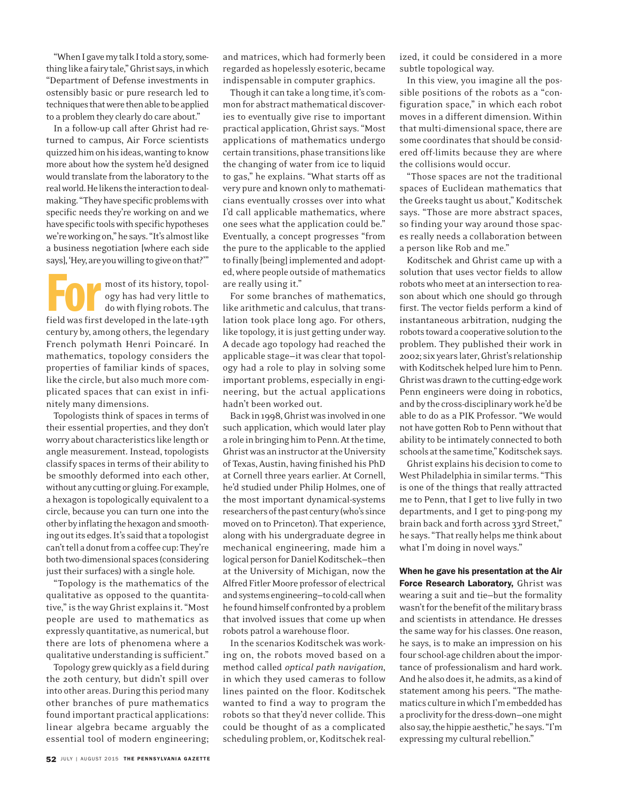"When I gave my talk I told a story, something like a fairy tale," Ghrist says, in which "Department of Defense investments in ostensibly basic or pure research led to techniques that were then able to be applied to a problem they clearly do care about."

In a follow-up call after Ghrist had returned to campus, Air Force scientists quizzed him on his ideas, wanting to know more about how the system he'd designed would translate from the laboratory to the real world. He likens the interaction to dealmaking. "They have specific problems with specific needs they're working on and we have specific tools with specific hypotheses we're working on," he says. "It's almost like a business negotiation [where each side says], 'Hey, are you willing to give on that?'"

**For** most of its history, topology has had very little to do with flying robots. The field was first developed in the late-19th ogy has had very little to do with flying robots. The century by, among others, the legendary French polymath Henri Poincaré. In mathematics, topology considers the properties of familiar kinds of spaces, like the circle, but also much more complicated spaces that can exist in infinitely many dimensions.

Topologists think of spaces in terms of their essential properties, and they don't worry about characteristics like length or angle measurement. Instead, topologists classify spaces in terms of their ability to be smoothly deformed into each other, without any cutting or gluing. For example, a hexagon is topologically equivalent to a circle, because you can turn one into the other by inflating the hexagon and smoothing out its edges. It's said that a topologist can't tell a donut from a coffee cup: They're both two-dimensional spaces (considering just their surfaces) with a single hole.

"Topology is the mathematics of the qualitative as opposed to the quantitative," is the way Ghrist explains it. "Most people are used to mathematics as expressly quantitative, as numerical, but there are lots of phenomena where a qualitative understanding is sufficient."

Topology grew quickly as a field during the 20th century, but didn't spill over into other areas. During this period many other branches of pure mathematics found important practical applications: linear algebra became arguably the essential tool of modern engineering;

and matrices, which had formerly been regarded as hopelessly esoteric, became indispensable in computer graphics.

Though it can take a long time, it's common for abstract mathematical discoveries to eventually give rise to important practical application, Ghrist says. "Most applications of mathematics undergo certain transitions, phase transitions like the changing of water from ice to liquid to gas," he explains. "What starts off as very pure and known only to mathematicians eventually crosses over into what I'd call applicable mathematics, where one sees what the application could be." Eventually, a concept progresses "from the pure to the applicable to the applied to finally [being] implemented and adopted, where people outside of mathematics are really using it."

For some branches of mathematics, like arithmetic and calculus, that translation took place long ago. For others, like topology, it is just getting under way. A decade ago topology had reached the applicable stage—it was clear that topology had a role to play in solving some important problems, especially in engineering, but the actual applications hadn't been worked out.

Back in 1998, Ghrist was involved in one such application, which would later play a role in bringing him to Penn. At the time, Ghrist was an instructor at the University of Texas, Austin, having finished his PhD at Cornell three years earlier. At Cornell, he'd studied under Philip Holmes, one of the most important dynamical-systems researchers of the past century (who's since moved on to Princeton). That experience, along with his undergraduate degree in mechanical engineering, made him a logical person for Daniel Koditschek—then at the University of Michigan, now the Alfred Fitler Moore professor of electrical and systems engineering—to cold-call when he found himself confronted by a problem that involved issues that come up when robots patrol a warehouse floor.

In the scenarios Koditschek was working on, the robots moved based on a method called *optical path navigation*, in which they used cameras to follow lines painted on the floor. Koditschek wanted to find a way to program the robots so that they'd never collide. This could be thought of as a complicated scheduling problem, or, Koditschek realized, it could be considered in a more subtle topological way.

In this view, you imagine all the possible positions of the robots as a "configuration space," in which each robot moves in a different dimension. Within that multi-dimensional space, there are some coordinates that should be considered off-limits because they are where the collisions would occur.

"Those spaces are not the traditional spaces of Euclidean mathematics that the Greeks taught us about," Koditschek says. "Those are more abstract spaces, so finding your way around those spaces really needs a collaboration between a person like Rob and me."

Koditschek and Ghrist came up with a solution that uses vector fields to allow robots who meet at an intersection to reason about which one should go through first. The vector fields perform a kind of instantaneous arbitration, nudging the robots toward a cooperative solution to the problem. They published their work in 2002; six years later, Ghrist's relationship with Koditschek helped lure him to Penn. Ghrist was drawn to the cutting-edge work Penn engineers were doing in robotics, and by the cross-disciplinary work he'd be able to do as a PIK Professor. "We would not have gotten Rob to Penn without that ability to be intimately connected to both schools at the same time," Koditschek says.

Ghrist explains his decision to come to West Philadelphia in similar terms. "This is one of the things that really attracted me to Penn, that I get to live fully in two departments, and I get to ping-pong my brain back and forth across 33rd Street," he says. "That really helps me think about what I'm doing in novel ways."

When he gave his presentation at the Air Force Research Laboratory, Ghrist was wearing a suit and tie—but the formality wasn't for the benefit of the military brass and scientists in attendance. He dresses the same way for his classes. One reason, he says, is to make an impression on his four school-age children about the importance of professionalism and hard work. And he also does it, he admits, as a kind of statement among his peers. "The mathematics culture in which I'm embedded has a proclivity for the dress-down—one might also say, the hippie aesthetic," he says. "I'm expressing my cultural rebellion."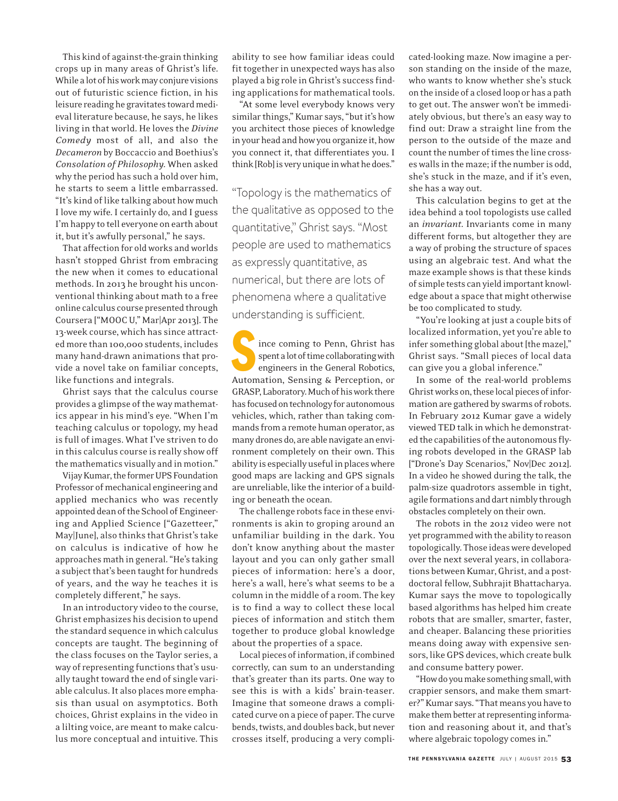This kind of against-the-grain thinking crops up in many areas of Ghrist's life. While a lot of his work may conjure visions out of futuristic science fiction, in his leisure reading he gravitates toward medieval literature because, he says, he likes living in that world. He loves the *Divine Comedy* most of all, and also the *Decameron* by Boccaccio and Boethius's *Consolation of Philosophy.* When asked why the period has such a hold over him, he starts to seem a little embarrassed. "It's kind of like talking about how much I love my wife. I certainly do, and I guess I'm happy to tell everyone on earth about it, but it's awfully personal," he says.

That affection for old works and worlds hasn't stopped Ghrist from embracing the new when it comes to educational methods. In 2013 he brought his unconventional thinking about math to a free online calculus course presented through Coursera ["MOOC U," Mar|Apr 2013]. The 13-week course, which has since attracted more than 100,000 students, includes many hand-drawn animations that provide a novel take on familiar concepts, like functions and integrals.

Ghrist says that the calculus course provides a glimpse of the way mathematics appear in his mind's eye. "When I'm teaching calculus or topology, my head is full of images. What I've striven to do in this calculus course is really show off the mathematics visually and in motion."

Vijay Kumar, the former UPS Foundation Professor of mechanical engineering and applied mechanics who was recently appointed dean of the School of Engineering and Applied Science ["Gazetteer," May|June], also thinks that Ghrist's take on calculus is indicative of how he approaches math in general. "He's taking a subject that's been taught for hundreds of years, and the way he teaches it is completely different," he says.

In an introductory video to the course, Ghrist emphasizes his decision to upend the standard sequence in which calculus concepts are taught. The beginning of the class focuses on the Taylor series, a way of representing functions that's usually taught toward the end of single variable calculus. It also places more emphasis than usual on asymptotics. Both choices, Ghrist explains in the video in a lilting voice, are meant to make calculus more conceptual and intuitive. This ability to see how familiar ideas could fit together in unexpected ways has also played a big role in Ghrist's success finding applications for mathematical tools.

"At some level everybody knows very similar things," Kumar says, "but it's how you architect those pieces of knowledge in your head and how you organize it, how you connect it, that differentiates you. I think [Rob] is very unique in what he does."

"Topology is the mathematics of the qualitative as opposed to the quantitative," Ghrist says. "Most people are used to mathematics as expressly quantitative, as numerical, but there are lots of phenomena where a qualitative understanding is sufficient.

**S**ince coming to Penn, Ghrist has spent a lot of time collaborating with engineers in the General Robotics, Automation, Sensing & Perception, or GRASP, Laboratory. Much of his work there has focused on technology for autonomous vehicles, which, rather than taking commands from a remote human operator, as many drones do, are able navigate an environment completely on their own. This ability is especially useful in places where good maps are lacking and GPS signals are unreliable, like the interior of a building or beneath the ocean.

The challenge robots face in these environments is akin to groping around an unfamiliar building in the dark. You don't know anything about the master layout and you can only gather small pieces of information: here's a door, here's a wall, here's what seems to be a column in the middle of a room. The key is to find a way to collect these local pieces of information and stitch them together to produce global knowledge about the properties of a space.

Local pieces of information, if combined correctly, can sum to an understanding that's greater than its parts. One way to see this is with a kids' brain-teaser. Imagine that someone draws a complicated curve on a piece of paper. The curve bends, twists, and doubles back, but never crosses itself, producing a very compli-

cated-looking maze. Now imagine a person standing on the inside of the maze, who wants to know whether she's stuck on the inside of a closed loop or has a path to get out. The answer won't be immediately obvious, but there's an easy way to find out: Draw a straight line from the person to the outside of the maze and count the number of times the line crosses walls in the maze; if the number is odd, she's stuck in the maze, and if it's even, she has a way out.

This calculation begins to get at the idea behind a tool topologists use called an *invariant*. Invariants come in many different forms, but altogether they are a way of probing the structure of spaces using an algebraic test. And what the maze example shows is that these kinds of simple tests can yield important knowledge about a space that might otherwise be too complicated to study.

"You're looking at just a couple bits of localized information, yet you're able to infer something global about [the maze]," Ghrist says. "Small pieces of local data can give you a global inference."

In some of the real-world problems Ghrist works on, these local pieces of information are gathered by swarms of robots. In February 2012 Kumar gave a widely viewed TED talk in which he demonstrated the capabilities of the autonomous flying robots developed in the GRASP lab ["Drone's Day Scenarios," Nov|Dec 2012]. In a video he showed during the talk, the palm-size quadrotors assemble in tight, agile formations and dart nimbly through obstacles completely on their own.

The robots in the 2012 video were not yet programmed with the ability to reason topologically. Those ideas were developed over the next several years, in collaborations between Kumar, Ghrist, and a postdoctoral fellow, Subhrajit Bhattacharya. Kumar says the move to topologically based algorithms has helped him create robots that are smaller, smarter, faster, and cheaper. Balancing these priorities means doing away with expensive sensors, like GPS devices, which create bulk and consume battery power.

"How do you make something small, with crappier sensors, and make them smarter?" Kumar says. "That means you have to make them better at representing information and reasoning about it, and that's where algebraic topology comes in."